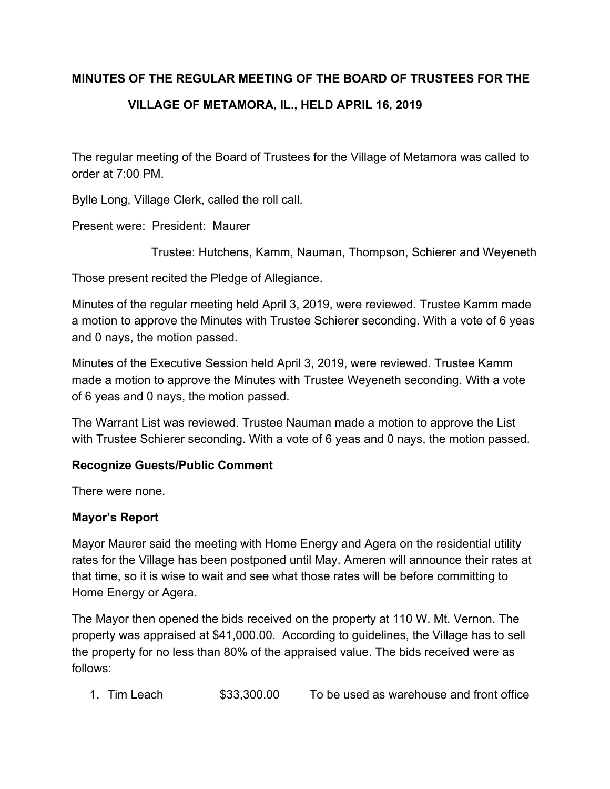#### **MINUTES OF THE REGULAR MEETING OF THE BOARD OF TRUSTEES FOR THE**

## **VILLAGE OF METAMORA, IL., HELD APRIL 16, 2019**

The regular meeting of the Board of Trustees for the Village of Metamora was called to order at 7:00 PM.

Bylle Long, Village Clerk, called the roll call.

Present were: President: Maurer

Trustee: Hutchens, Kamm, Nauman, Thompson, Schierer and Weyeneth

Those present recited the Pledge of Allegiance.

Minutes of the regular meeting held April 3, 2019, were reviewed. Trustee Kamm made a motion to approve the Minutes with Trustee Schierer seconding. With a vote of 6 yeas and 0 nays, the motion passed.

Minutes of the Executive Session held April 3, 2019, were reviewed. Trustee Kamm made a motion to approve the Minutes with Trustee Weyeneth seconding. With a vote of 6 yeas and 0 nays, the motion passed.

The Warrant List was reviewed. Trustee Nauman made a motion to approve the List with Trustee Schierer seconding. With a vote of 6 yeas and 0 nays, the motion passed.

### **Recognize Guests/Public Comment**

There were none.

### **Mayor's Report**

Mayor Maurer said the meeting with Home Energy and Agera on the residential utility rates for the Village has been postponed until May. Ameren will announce their rates at that time, so it is wise to wait and see what those rates will be before committing to Home Energy or Agera.

The Mayor then opened the bids received on the property at 110 W. Mt. Vernon. The property was appraised at \$41,000.00. According to guidelines, the Village has to sell the property for no less than 80% of the appraised value. The bids received were as follows:

1. Tim Leach \$33,300.00 To be used as warehouse and front office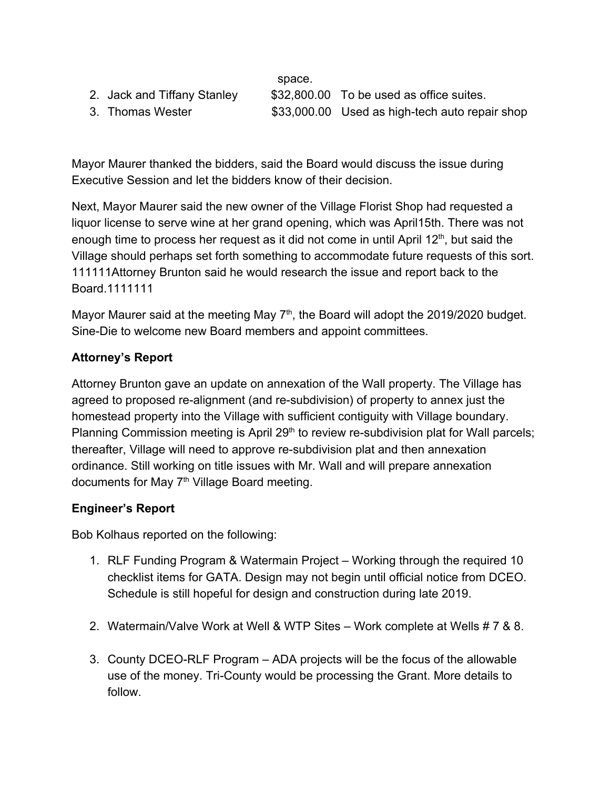| space. |
|--------|
|        |

2. Jack and Tiffany Stanley \$32,800.00 To be used as office suites. 3. Thomas Wester \$33,000.00 Used as high-tech auto repair shop

Mayor Maurer thanked the bidders, said the Board would discuss the issue during Executive Session and let the bidders know of their decision.

Next, Mayor Maurer said the new owner of the Village Florist Shop had requested a liquor license to serve wine at her grand opening, which was April15th. There was not enough time to process her request as it did not come in until April  $12<sup>th</sup>$ , but said the Village should perhaps set forth something to accommodate future requests of this sort. 111111Attorney Brunton said he would research the issue and report back to the Board.1111111

Mayor Maurer said at the meeting May  $7<sup>th</sup>$ , the Board will adopt the 2019/2020 budget. Sine-Die to welcome new Board members and appoint committees.

# **Attorney's Report**

Attorney Brunton gave an update on annexation of the Wall property. The Village has agreed to proposed re-alignment (and re-subdivision) of property to annex just the homestead property into the Village with sufficient contiguity with Village boundary. Planning Commission meeting is April 29<sup>th</sup> to review re-subdivision plat for Wall parcels; thereafter, Village will need to approve re-subdivision plat and then annexation ordinance. Still working on title issues with Mr. Wall and will prepare annexation documents for May 7<sup>th</sup> Village Board meeting.

## **Engineer's Report**

Bob Kolhaus reported on the following:

- 1. RLF Funding Program & Watermain Project Working through the required 10 checklist items for GATA. Design may not begin until official notice from DCEO. Schedule is still hopeful for design and construction during late 2019.
- 2. Watermain/Valve Work at Well & WTP Sites Work complete at Wells # 7 & 8.
- 3. County DCEO-RLF Program ADA projects will be the focus of the allowable use of the money. Tri-County would be processing the Grant. More details to follow.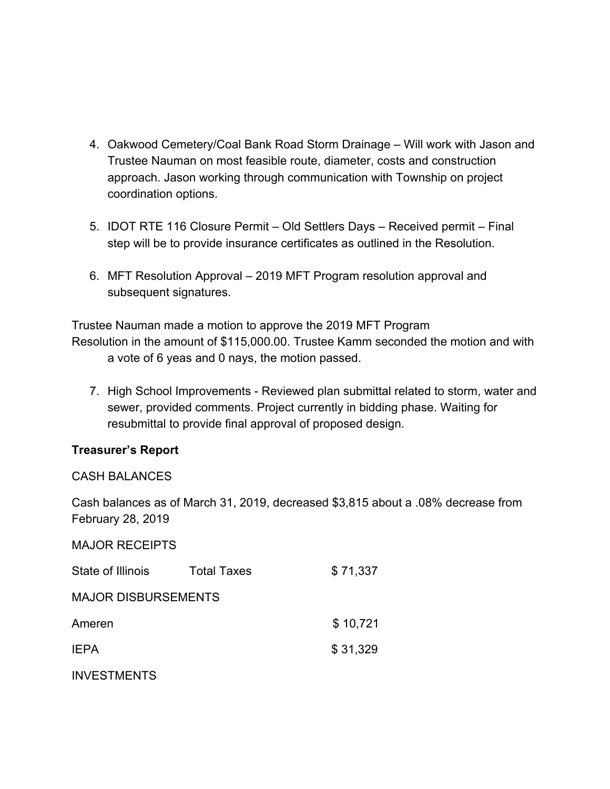- 4. Oakwood Cemetery/Coal Bank Road Storm Drainage Will work with Jason and Trustee Nauman on most feasible route, diameter, costs and construction approach. Jason working through communication with Township on project coordination options.
- 5. IDOT RTE 116 Closure Permit Old Settlers Days Received permit Final step will be to provide insurance certificates as outlined in the Resolution.
- 6. MFT Resolution Approval 2019 MFT Program resolution approval and subsequent signatures.

Trustee Nauman made a motion to approve the 2019 MFT Program Resolution in the amount of \$115,000.00. Trustee Kamm seconded the motion and with a vote of 6 yeas and 0 nays, the motion passed.

7. High School Improvements - Reviewed plan submittal related to storm, water and sewer, provided comments. Project currently in bidding phase. Waiting for resubmittal to provide final approval of proposed design.

### **Treasurer's Report**

#### CASH BALANCES

Cash balances as of March 31, 2019, decreased \$3,815 about a .08% decrease from February 28, 2019

| <b>MAJOR RECEIPTS</b>      |                    |          |
|----------------------------|--------------------|----------|
| State of Illinois          | <b>Total Taxes</b> | \$71,337 |
| <b>MAJOR DISBURSEMENTS</b> |                    |          |
| Ameren                     |                    | \$10,721 |
| <b>IEPA</b>                |                    | \$31,329 |
| <b>INVESTMENTS</b>         |                    |          |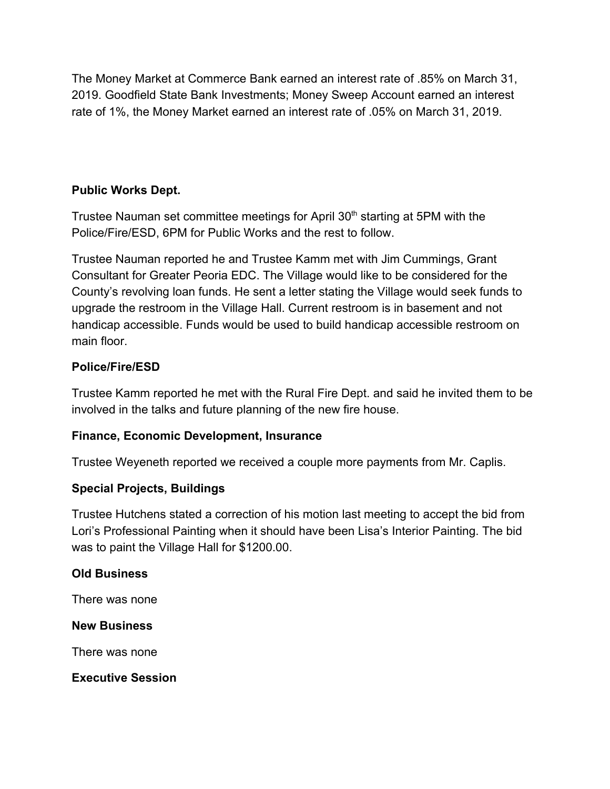The Money Market at Commerce Bank earned an interest rate of .85% on March 31, 2019. Goodfield State Bank Investments; Money Sweep Account earned an interest rate of 1%, the Money Market earned an interest rate of .05% on March 31, 2019.

## **Public Works Dept.**

Trustee Nauman set committee meetings for April 30<sup>th</sup> starting at 5PM with the Police/Fire/ESD, 6PM for Public Works and the rest to follow.

Trustee Nauman reported he and Trustee Kamm met with Jim Cummings, Grant Consultant for Greater Peoria EDC. The Village would like to be considered for the County's revolving loan funds. He sent a letter stating the Village would seek funds to upgrade the restroom in the Village Hall. Current restroom is in basement and not handicap accessible. Funds would be used to build handicap accessible restroom on main floor.

### **Police/Fire/ESD**

Trustee Kamm reported he met with the Rural Fire Dept. and said he invited them to be involved in the talks and future planning of the new fire house.

### **Finance, Economic Development, Insurance**

Trustee Weyeneth reported we received a couple more payments from Mr. Caplis.

### **Special Projects, Buildings**

Trustee Hutchens stated a correction of his motion last meeting to accept the bid from Lori's Professional Painting when it should have been Lisa's Interior Painting. The bid was to paint the Village Hall for \$1200.00.

#### **Old Business**

There was none

#### **New Business**

There was none

### **Executive Session**